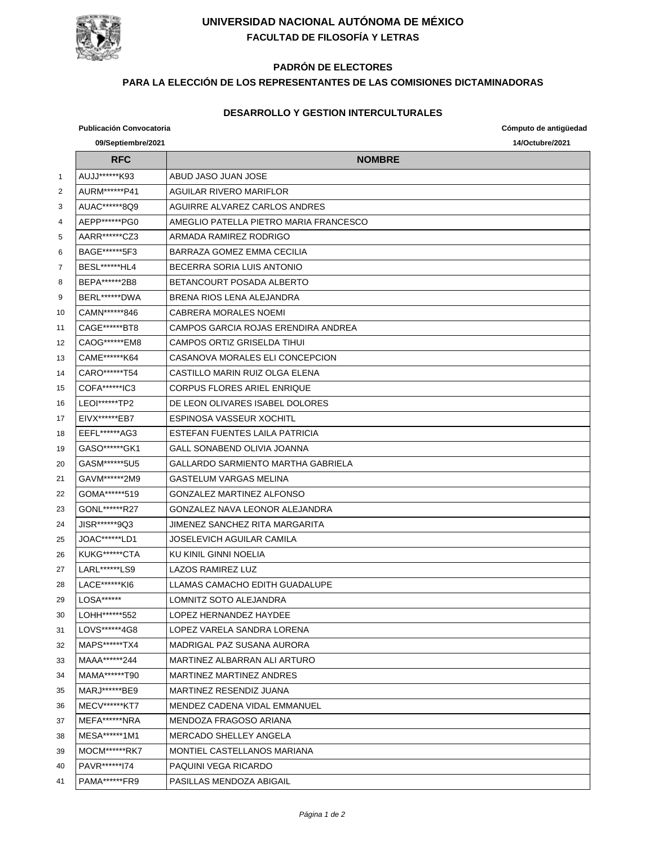

## **UNIVERSIDAD NACIONAL AUTÓNOMA DE MÉXICO FACULTAD DE FILOSOFÍA Y LETRAS**

## **PADRÓN DE ELECTORES**

### **PARA LA ELECCIÓN DE LOS REPRESENTANTES DE LAS COMISIONES DICTAMINADORAS**

#### **DESARROLLO Y GESTION INTERCULTURALES**

# **Publicación Convocatoria Cómputo de antigüedad 09/Septiembre/2021 14/Octubre/2021 RFC NOMBRE** AUJJ\*\*\*\*\*\*K93 ABUD JASO JUAN JOSE AURM\*\*\*\*\*\*P41 AGUILAR RIVERO MARIFLOR AUAC\*\*\*\*\*\*8Q9 AGUIRRE ALVAREZ CARLOS ANDRES 4 | AEPP\*\*\*\*\*\*PG0 | AMEGLIO PATELLA PIETRO MARIA FRANCESCO AARR\*\*\*\*\*\*CZ3 ARMADA RAMIREZ RODRIGO BAGE\*\*\*\*\*\*5F3 BARRAZA GOMEZ EMMA CECILIA BESL\*\*\*\*\*\*HL4 BECERRA SORIA LUIS ANTONIO 8 BEPA\*\*\*\*\*\*\*2B8 BETANCOURT POSADA ALBERTO BERL\*\*\*\*\*\*DWA BRENA RIOS LENA ALEJANDRA CAMN\*\*\*\*\*\*846 CABRERA MORALES NOEMI CAGE\*\*\*\*\*\*BT8 CAMPOS GARCIA ROJAS ERENDIRA ANDREA CAOG\*\*\*\*\*\*EM8 CAMPOS ORTIZ GRISELDA TIHUI CAME\*\*\*\*\*\*K64 CASANOVA MORALES ELI CONCEPCION CARO\*\*\*\*\*\*T54 CASTILLO MARIN RUIZ OLGA ELENA COFA\*\*\*\*\*\*IC3 CORPUS FLORES ARIEL ENRIQUE LEOI\*\*\*\*\*\*TP2 DE LEON OLIVARES ISABEL DOLORES 17 | EIVX\*\*\*\*\*\*EB7 | ESPINOSA VASSEUR XOCHITL EEFL\*\*\*\*\*\*AG3 ESTEFAN FUENTES LAILA PATRICIA GASO\*\*\*\*\*\*GK1 GALL SONABEND OLIVIA JOANNA GASM\*\*\*\*\*\*5U5 GALLARDO SARMIENTO MARTHA GABRIELA GAVM\*\*\*\*\*\*2M9 GASTELUM VARGAS MELINA GOMA\*\*\*\*\*\*519 GONZALEZ MARTINEZ ALFONSO 23 GONL\*\*\*\*\*\*R27 GONZALEZ NAVA LEONOR ALEJANDRA 24 JISR\*\*\*\*\*\*9Q3 JIMENEZ SANCHEZ RITA MARGARITA JOAC\*\*\*\*\*\*LD1 JOSELEVICH AGUILAR CAMILA 26 | KUKG\*\*\*\*\*\*CTA | KU KINIL GINNI NOELIA 27 | LARL\*\*\*\*\*\*LS9 | LAZOS RAMIREZ LUZ 28 | LACE\*\*\*\*\*\*KI6 | LLAMAS CAMACHO EDITH GUADALUPE 29 | LOSA\*\*\*\*\*\*\* | LOMNITZ SOTO ALEJANDRA LOHH\*\*\*\*\*\*552 LOPEZ HERNANDEZ HAYDEE LOVS\*\*\*\*\*\*4G8 LOPEZ VARELA SANDRA LORENA MAPS\*\*\*\*\*\*TX4 MADRIGAL PAZ SUSANA AURORA MAAA\*\*\*\*\*\*244 MARTINEZ ALBARRAN ALI ARTURO MAMA\*\*\*\*\*\*T90 MARTINEZ MARTINEZ ANDRES MARJ\*\*\*\*\*\*BE9 MARTINEZ RESENDIZ JUANA MECV\*\*\*\*\*\*KT7 MENDEZ CADENA VIDAL EMMANUEL 37 | MEFA\*\*\*\*\*\*\*NRA | MENDOZA FRAGOSO ARIANA MESA\*\*\*\*\*\*1M1 MERCADO SHELLEY ANGELA MOCM\*\*\*\*\*\*RK7 MONTIEL CASTELLANOS MARIANA PAVR\*\*\*\*\*\*I74 PAQUINI VEGA RICARDO PAMA\*\*\*\*\*\*FR9 PASILLAS MENDOZA ABIGAIL